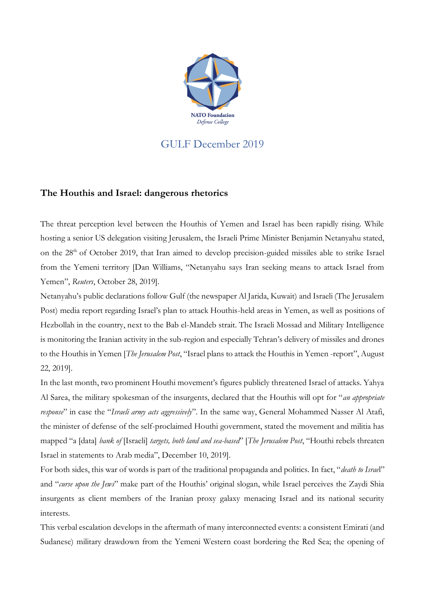

## GULF December 2019

## **The Houthis and Israel: dangerous rhetorics**

The threat perception level between the Houthis of Yemen and Israel has been rapidly rising. While hosting a senior US delegation visiting Jerusalem, the Israeli Prime Minister Benjamin Netanyahu stated, on the 28<sup>th</sup> of October 2019, that Iran aimed to develop precision-guided missiles able to strike Israel from the Yemeni territory [Dan Williams, "Netanyahu says Iran seeking means to attack Israel from Yemen", *Reuters*, October 28, 2019].

Netanyahu's public declarations follow Gulf (the newspaper Al Jarida, Kuwait) and Israeli (The Jerusalem Post) media report regarding Israel's plan to attack Houthis-held areas in Yemen, as well as positions of Hezbollah in the country, next to the Bab el-Mandeb strait. The Israeli Mossad and Military Intelligence is monitoring the Iranian activity in the sub-region and especially Tehran's delivery of missiles and drones to the Houthis in Yemen [*The Jerusalem Post*, "Israel plans to attack the Houthis in Yemen -report", August 22, 2019].

In the last month, two prominent Houthi movement's figures publicly threatened Israel of attacks. Yahya Al Sarea, the military spokesman of the insurgents, declared that the Houthis will opt for "*an appropriate response*" in case the "*Israeli army acts aggressively*". In the same way, General Mohammed Nasser Al Atafi, the minister of defense of the self-proclaimed Houthi government, stated the movement and militia has mapped "a [data] *bank of* [Israeli] *targets, both land and sea-based*" [*The Jerusalem Post*, "Houthi rebels threaten Israel in statements to Arab media", December 10, 2019].

For both sides, this war of words is part of the traditional propaganda and politics. In fact, "*death to Israe*l" and "*curse upon the Jews*" make part of the Houthis' original slogan, while Israel perceives the Zaydi Shia insurgents as client members of the Iranian proxy galaxy menacing Israel and its national security interests.

This verbal escalation develops in the aftermath of many interconnected events: a consistent Emirati (and Sudanese) military drawdown from the Yemeni Western coast bordering the Red Sea; the opening of